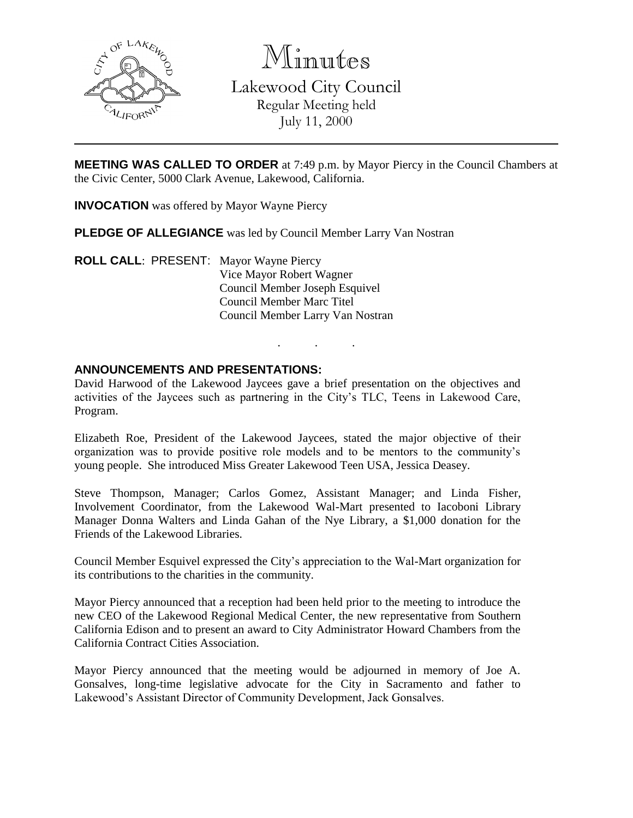

Minutes

Lakewood City Council Regular Meeting held July 11, 2000

**MEETING WAS CALLED TO ORDER** at 7:49 p.m. by Mayor Piercy in the Council Chambers at the Civic Center, 5000 Clark Avenue, Lakewood, California.

**INVOCATION** was offered by Mayor Wayne Piercy

**PLEDGE OF ALLEGIANCE** was led by Council Member Larry Van Nostran

**ROLL CALL**: PRESENT: Mayor Wayne Piercy Vice Mayor Robert Wagner Council Member Joseph Esquivel Council Member Marc Titel Council Member Larry Van Nostran

## **ANNOUNCEMENTS AND PRESENTATIONS:**

David Harwood of the Lakewood Jaycees gave a brief presentation on the objectives and activities of the Jaycees such as partnering in the City's TLC, Teens in Lakewood Care, Program.

. . .

Elizabeth Roe, President of the Lakewood Jaycees, stated the major objective of their organization was to provide positive role models and to be mentors to the community's young people. She introduced Miss Greater Lakewood Teen USA, Jessica Deasey.

Steve Thompson, Manager; Carlos Gomez, Assistant Manager; and Linda Fisher, Involvement Coordinator, from the Lakewood Wal-Mart presented to Iacoboni Library Manager Donna Walters and Linda Gahan of the Nye Library, a \$1,000 donation for the Friends of the Lakewood Libraries.

Council Member Esquivel expressed the City's appreciation to the Wal-Mart organization for its contributions to the charities in the community.

Mayor Piercy announced that a reception had been held prior to the meeting to introduce the new CEO of the Lakewood Regional Medical Center, the new representative from Southern California Edison and to present an award to City Administrator Howard Chambers from the California Contract Cities Association.

Mayor Piercy announced that the meeting would be adjourned in memory of Joe A. Gonsalves, long-time legislative advocate for the City in Sacramento and father to Lakewood's Assistant Director of Community Development, Jack Gonsalves.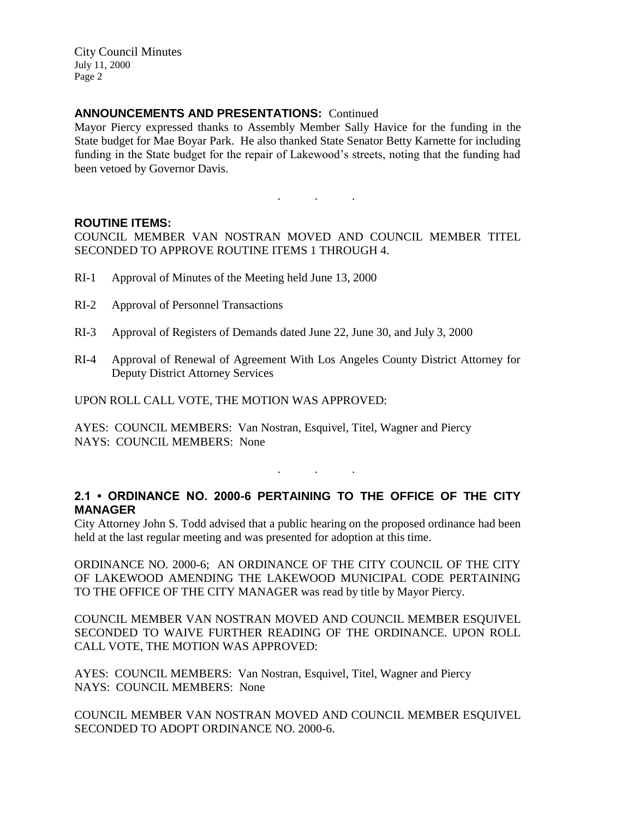City Council Minutes July 11, 2000 Page 2

## **ANNOUNCEMENTS AND PRESENTATIONS:** Continued

Mayor Piercy expressed thanks to Assembly Member Sally Havice for the funding in the State budget for Mae Boyar Park. He also thanked State Senator Betty Karnette for including funding in the State budget for the repair of Lakewood's streets, noting that the funding had been vetoed by Governor Davis.

#### **ROUTINE ITEMS:**

COUNCIL MEMBER VAN NOSTRAN MOVED AND COUNCIL MEMBER TITEL SECONDED TO APPROVE ROUTINE ITEMS 1 THROUGH 4.

. . .

- RI-1 Approval of Minutes of the Meeting held June 13, 2000
- RI-2 Approval of Personnel Transactions
- RI-3 Approval of Registers of Demands dated June 22, June 30, and July 3, 2000
- RI-4 Approval of Renewal of Agreement With Los Angeles County District Attorney for Deputy District Attorney Services

UPON ROLL CALL VOTE, THE MOTION WAS APPROVED:

AYES: COUNCIL MEMBERS: Van Nostran, Esquivel, Titel, Wagner and Piercy NAYS: COUNCIL MEMBERS: None

# **2.1 • ORDINANCE NO. 2000-6 PERTAINING TO THE OFFICE OF THE CITY MANAGER**

. . .

City Attorney John S. Todd advised that a public hearing on the proposed ordinance had been held at the last regular meeting and was presented for adoption at this time.

ORDINANCE NO. 2000-6; AN ORDINANCE OF THE CITY COUNCIL OF THE CITY OF LAKEWOOD AMENDING THE LAKEWOOD MUNICIPAL CODE PERTAINING TO THE OFFICE OF THE CITY MANAGER was read by title by Mayor Piercy.

COUNCIL MEMBER VAN NOSTRAN MOVED AND COUNCIL MEMBER ESQUIVEL SECONDED TO WAIVE FURTHER READING OF THE ORDINANCE. UPON ROLL CALL VOTE, THE MOTION WAS APPROVED:

AYES: COUNCIL MEMBERS: Van Nostran, Esquivel, Titel, Wagner and Piercy NAYS: COUNCIL MEMBERS: None

COUNCIL MEMBER VAN NOSTRAN MOVED AND COUNCIL MEMBER ESQUIVEL SECONDED TO ADOPT ORDINANCE NO. 2000-6.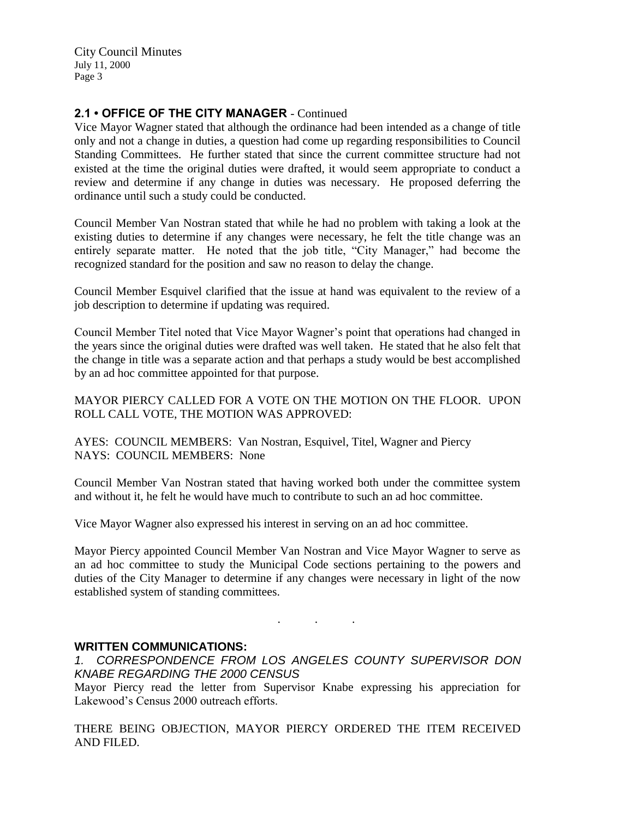City Council Minutes July 11, 2000 Page 3

# **2.1 • OFFICE OF THE CITY MANAGER** - Continued

Vice Mayor Wagner stated that although the ordinance had been intended as a change of title only and not a change in duties, a question had come up regarding responsibilities to Council Standing Committees. He further stated that since the current committee structure had not existed at the time the original duties were drafted, it would seem appropriate to conduct a review and determine if any change in duties was necessary. He proposed deferring the ordinance until such a study could be conducted.

Council Member Van Nostran stated that while he had no problem with taking a look at the existing duties to determine if any changes were necessary, he felt the title change was an entirely separate matter. He noted that the job title, "City Manager," had become the recognized standard for the position and saw no reason to delay the change.

Council Member Esquivel clarified that the issue at hand was equivalent to the review of a job description to determine if updating was required.

Council Member Titel noted that Vice Mayor Wagner's point that operations had changed in the years since the original duties were drafted was well taken. He stated that he also felt that the change in title was a separate action and that perhaps a study would be best accomplished by an ad hoc committee appointed for that purpose.

MAYOR PIERCY CALLED FOR A VOTE ON THE MOTION ON THE FLOOR. UPON ROLL CALL VOTE, THE MOTION WAS APPROVED:

AYES: COUNCIL MEMBERS: Van Nostran, Esquivel, Titel, Wagner and Piercy NAYS: COUNCIL MEMBERS: None

Council Member Van Nostran stated that having worked both under the committee system and without it, he felt he would have much to contribute to such an ad hoc committee.

Vice Mayor Wagner also expressed his interest in serving on an ad hoc committee.

Mayor Piercy appointed Council Member Van Nostran and Vice Mayor Wagner to serve as an ad hoc committee to study the Municipal Code sections pertaining to the powers and duties of the City Manager to determine if any changes were necessary in light of the now established system of standing committees.

#### **WRITTEN COMMUNICATIONS:**

*1. CORRESPONDENCE FROM LOS ANGELES COUNTY SUPERVISOR DON KNABE REGARDING THE 2000 CENSUS*

. . .

Mayor Piercy read the letter from Supervisor Knabe expressing his appreciation for Lakewood's Census 2000 outreach efforts.

THERE BEING OBJECTION, MAYOR PIERCY ORDERED THE ITEM RECEIVED AND FILED.